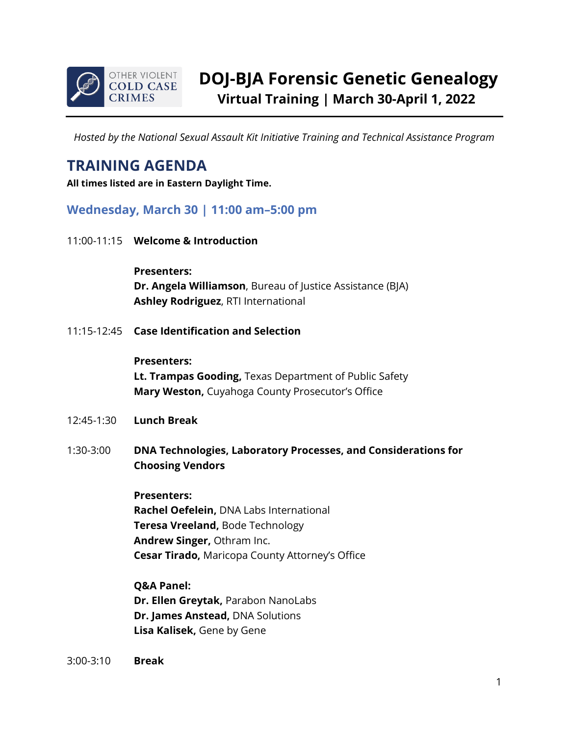

*Hosted by the National Sexual Assault Kit Initiative Training and Technical Assistance Program*

# **TRAINING AGENDA**

**All times listed are in Eastern Daylight Time.**

## **Wednesday, March 30 | 11:00 am–5:00 pm**

11:00-11:15 **Welcome & Introduction**

**Presenters: Dr. Angela Williamson**, Bureau of Justice Assistance (BJA) **Ashley Rodriguez**, RTI International

11:15-12:45 **Case Identification and Selection**

#### **Presenters:**

**Lt. Trampas Gooding,** Texas Department of Public Safety **Mary Weston,** Cuyahoga County Prosecutor's Office

- 12:45-1:30 **Lunch Break**
- 1:30-3:00 **DNA Technologies, Laboratory Processes, and Considerations for Choosing Vendors**

#### **Presenters:**

**Rachel Oefelein,** DNA Labs International **Teresa Vreeland,** Bode Technology **Andrew Singer,** Othram Inc. **Cesar Tirado,** Maricopa County Attorney's Office

**Q&A Panel: Dr. Ellen Greytak,** Parabon NanoLabs **Dr. James Anstead,** DNA Solutions **Lisa Kalisek,** Gene by Gene

3:00-3:10 **Break**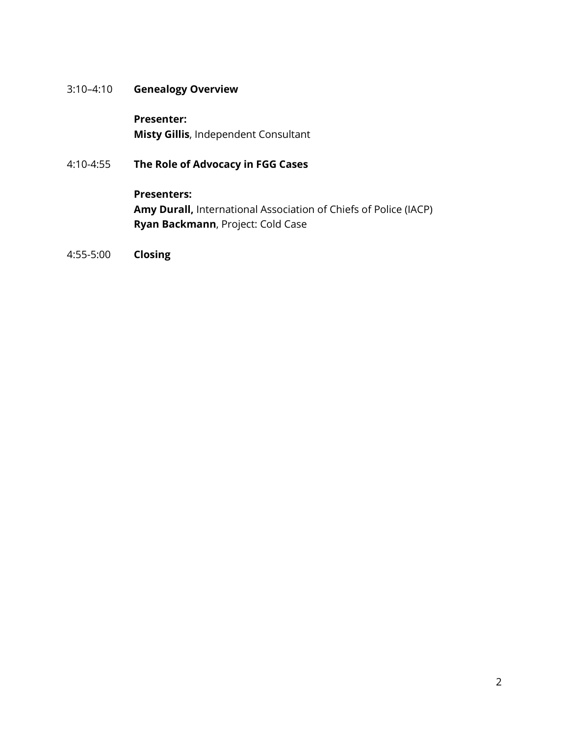### 3:10–4:10 **Genealogy Overview**

**Presenter: Misty Gillis**, Independent Consultant

## 4:10-4:55 **The Role of Advocacy in FGG Cases**

**Presenters: Amy Durall,** International Association of Chiefs of Police (IACP) **Ryan Backmann**, Project: Cold Case

4:55-5:00 **Closing**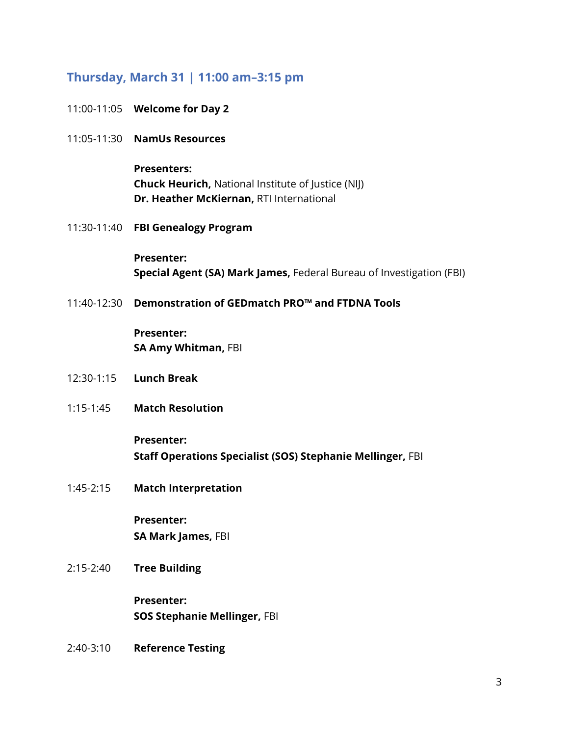# **Thursday, March 31 | 11:00 am–3:15 pm**

|             | 11:00-11:05 <b>Welcome for Day 2</b>                                                                                        |
|-------------|-----------------------------------------------------------------------------------------------------------------------------|
|             | 11:05-11:30 <b>NamUs Resources</b>                                                                                          |
|             | <b>Presenters:</b><br><b>Chuck Heurich, National Institute of Justice (NIJ)</b><br>Dr. Heather McKiernan, RTI International |
|             | 11:30-11:40 FBI Genealogy Program                                                                                           |
|             | <b>Presenter:</b><br>Special Agent (SA) Mark James, Federal Bureau of Investigation (FBI)                                   |
| 11:40-12:30 | Demonstration of GEDmatch PRO™ and FTDNA Tools                                                                              |
|             | <b>Presenter:</b><br>SA Amy Whitman, FBI                                                                                    |
|             | 12:30-1:15    Lunch Break                                                                                                   |
| $1:15-1:45$ | <b>Match Resolution</b>                                                                                                     |
|             | <b>Presenter:</b><br>Staff Operations Specialist (SOS) Stephanie Mellinger, FBI                                             |
| $1:45-2:15$ | <b>Match Interpretation</b>                                                                                                 |
|             | Presenter:<br>SA Mark James, FBI                                                                                            |
| $2:15-2:40$ | <b>Tree Building</b>                                                                                                        |
|             | <b>Presenter:</b><br><b>SOS Stephanie Mellinger, FBI</b>                                                                    |
| 2:40-3:10   | <b>Reference Testing</b>                                                                                                    |
|             |                                                                                                                             |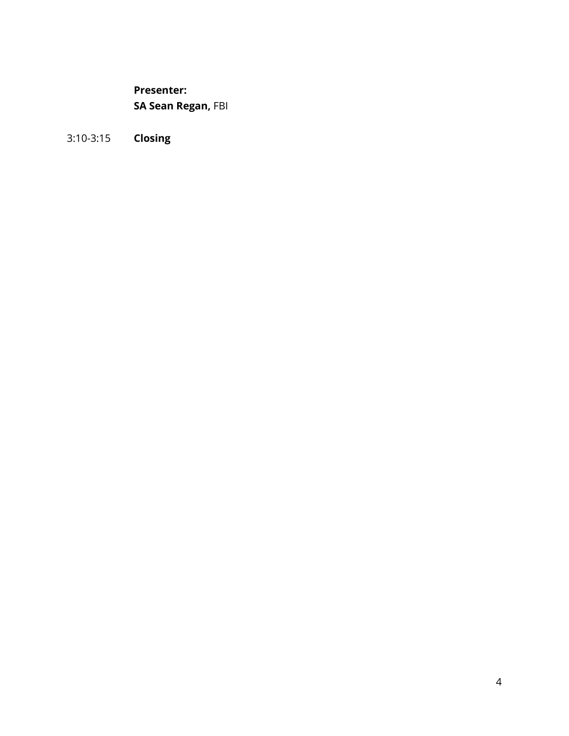**Presenter: SA Sean Regan,** FBI

3:10-3:15 **Closing**